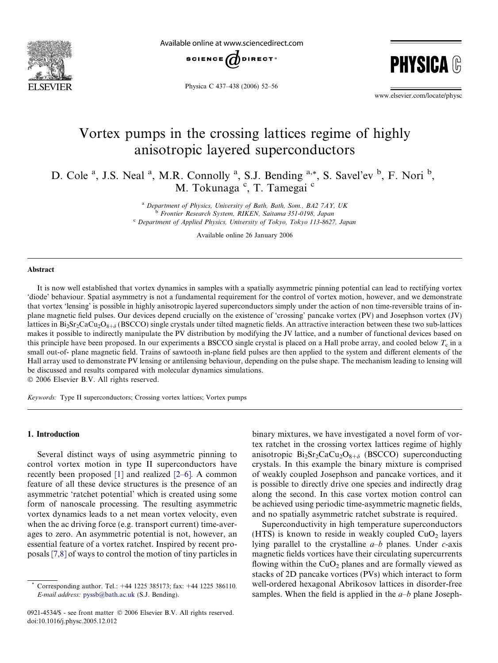

Available online at www.sciencedirect.com



Physica C 437–438 (2006) 52–56

**PHYSIC** 

www.elsevier.com/locate/physc

# Vortex pumps in the crossing lattices regime of highly anisotropic layered superconductors

D. Cole<sup>a</sup>, J.S. Neal<sup>a</sup>, M.R. Connolly<sup>a</sup>, S.J. Bending<sup>a,\*</sup>, S. Savel'ev <sup>b</sup>, F. Nori<sup>b</sup>, M. Tokunaga<sup>c</sup>, T. Tamegai<sup>c</sup>

> $a$  Department of Physics, University of Bath, Bath, Som., BA2 7AY, UK <sup>b</sup> Frontier Research System, RIKEN, Saitama 351-0198, Japan <sup>c</sup> Department of Applied Physics, University of Tokyo, Tokyo 113-8627, Japan

> > Available online 26 January 2006

#### Abstract

It is now well established that vortex dynamics in samples with a spatially asymmetric pinning potential can lead to rectifying vortex 'diode' behaviour. Spatial asymmetry is not a fundamental requirement for the control of vortex motion, however, and we demonstrate that vortex 'lensing' is possible in highly anisotropic layered superconductors simply under the action of non time-reversible trains of inplane magnetic field pulses. Our devices depend crucially on the existence of 'crossing' pancake vortex (PV) and Josephson vortex (JV) lattices in  $Bi_2Sr_2CaCu_2O_{8+\delta}$  (BSCCO) single crystals under tilted magnetic fields. An attractive interaction between these two sub-lattices makes it possible to indirectly manipulate the PV distribution by modifying the JV lattice, and a number of functional devices based on this principle have been proposed. In our experiments a BSCCO single crystal is placed on a Hall probe array, and cooled below  $T_c$  in a small out-of- plane magnetic field. Trains of sawtooth in-plane field pulses are then applied to the system and different elements of the Hall array used to demonstrate PV lensing or antilensing behaviour, depending on the pulse shape. The mechanism leading to lensing will be discussed and results compared with molecular dynamics simulations. © 2006 Elsevier B.V. All rights reserved.

Keywords: Type II superconductors; Crossing vortex lattices; Vortex pumps

#### 1. Introduction

Several distinct ways of using asymmetric pinning to control vortex motion in type II superconductors have recently been proposed [\[1\]](#page-4-0) and realized [\[2–6\]](#page-4-0). A common feature of all these device structures is the presence of an asymmetric 'ratchet potential' which is created using some form of nanoscale processing. The resulting asymmetric vortex dynamics leads to a net mean vortex velocity, even when the ac driving force (e.g. transport current) time-averages to zero. An asymmetric potential is not, however, an essential feature of a vortex ratchet. Inspired by recent proposals [\[7,8\]](#page-4-0) of ways to control the motion of tiny particles in

0921-4534/\$ - see front matter © 2006 Elsevier B.V. All rights reserved. doi:10.1016/j.physc.2005.12.012

binary mixtures, we have investigated a novel form of vortex ratchet in the crossing vortex lattices regime of highly anisotropic  $Bi_2Sr_2CaCu_2O_{8+\delta}$  (BSCCO) superconducting crystals. In this example the binary mixture is comprised of weakly coupled Josephson and pancake vortices, and it is possible to directly drive one species and indirectly drag along the second. In this case vortex motion control can be achieved using periodic time-asymmetric magnetic fields, and no spatially asymmetric ratchet substrate is required.

Superconductivity in high temperature superconductors (HTS) is known to reside in weakly coupled  $CuO<sub>2</sub>$  layers lying parallel to the crystalline  $a-b$  planes. Under  $c$ -axis magnetic fields vortices have their circulating supercurrents flowing within the  $CuO<sub>2</sub>$  planes and are formally viewed as stacks of 2D pancake vortices (PVs) which interact to form well-ordered hexagonal Abrikosov lattices in disorder-free samples. When the field is applied in the  $a-b$  plane Joseph-

Corresponding author. Tel.: +44 1225 385173; fax: +44 1225 386110. E-mail address: [pyssb@bath.ac.uk](mailto:pyssb@bath.ac.uk) (S.J. Bending).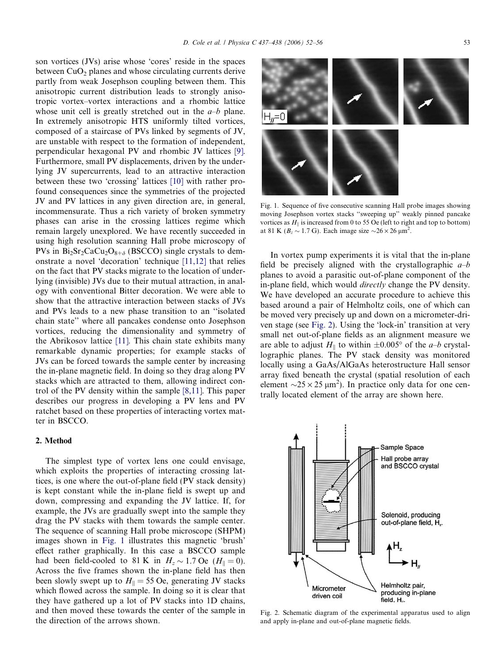son vortices (JVs) arise whose 'cores' reside in the spaces between  $CuO<sub>2</sub>$  planes and whose circulating currents derive partly from weak Josephson coupling between them. This anisotropic current distribution leads to strongly anisotropic vortex–vortex interactions and a rhombic lattice whose unit cell is greatly stretched out in the  $a-b$  plane. In extremely anisotropic HTS uniformly tilted vortices, composed of a staircase of PVs linked by segments of JV, are unstable with respect to the formation of independent, perpendicular hexagonal PV and rhombic JV lattices [\[9\].](#page-4-0) Furthermore, small PV displacements, driven by the underlying JV supercurrents, lead to an attractive interaction between these two 'crossing' lattices [\[10\]](#page-4-0) with rather profound consequences since the symmetries of the projected JV and PV lattices in any given direction are, in general, incommensurate. Thus a rich variety of broken symmetry phases can arise in the crossing lattices regime which remain largely unexplored. We have recently succeeded in using high resolution scanning Hall probe microscopy of PVs in  $Bi_2Sr_2CaCu_2O_{8+\delta}$  (BSCCO) single crystals to demonstrate a novel 'decoration' technique [\[11,12\]](#page-4-0) that relies on the fact that PV stacks migrate to the location of underlying (invisible) JVs due to their mutual attraction, in analogy with conventional Bitter decoration. We were able to show that the attractive interaction between stacks of JVs and PVs leads to a new phase transition to an ''isolated chain state'' where all pancakes condense onto Josephson vortices, reducing the dimensionality and symmetry of the Abrikosov lattice [\[11\]](#page-4-0). This chain state exhibits many remarkable dynamic properties; for example stacks of JVs can be forced towards the sample center by increasing the in-plane magnetic field. In doing so they drag along PV stacks which are attracted to them, allowing indirect control of the PV density within the sample [\[8,11\].](#page-4-0) This paper describes our progress in developing a PV lens and PV ratchet based on these properties of interacting vortex matter in BSCCO.

## 2. Method

The simplest type of vortex lens one could envisage, which exploits the properties of interacting crossing lattices, is one where the out-of-plane field (PV stack density) is kept constant while the in-plane field is swept up and down, compressing and expanding the JV lattice. If, for example, the JVs are gradually swept into the sample they drag the PV stacks with them towards the sample center. The sequence of scanning Hall probe microscope (SHPM) images shown in Fig. 1 illustrates this magnetic 'brush' effect rather graphically. In this case a BSCCO sample had been field-cooled to 81 K in  $H_z \sim 1.7$  Oe ( $H_{\parallel} = 0$ ). Across the five frames shown the in-plane field has then been slowly swept up to  $H_{\parallel} = 55$  Oe, generating JV stacks which flowed across the sample. In doing so it is clear that they have gathered up a lot of PV stacks into 1D chains, and then moved these towards the center of the sample in the direction of the arrows shown.



Fig. 1. Sequence of five consecutive scanning Hall probe images showing moving Josephson vortex stacks ''sweeping up'' weakly pinned pancake vortices as  $H_{\parallel}$  is increased from 0 to 55 Oe (left to right and top to bottom) at 81 K ( $B_z \sim 1.7$  G). Each image size  $\sim 26 \times 26$  µm<sup>2</sup>.

In vortex pump experiments it is vital that the in-plane field be precisely aligned with the crystallographic  $a-b$ planes to avoid a parasitic out-of-plane component of the in-plane field, which would directly change the PV density. We have developed an accurate procedure to achieve this based around a pair of Helmholtz coils, one of which can be moved very precisely up and down on a micrometer-driven stage (see Fig. 2). Using the 'lock-in' transition at very small net out-of-plane fields as an alignment measure we are able to adjust  $H_{\parallel}$  to within  $\pm 0.005^{\circ}$  of the *a–b* crystallographic planes. The PV stack density was monitored locally using a GaAs/AlGaAs heterostructure Hall sensor array fixed beneath the crystal (spatial resolution of each element  $\sim$ 25  $\times$  25  $\mu$ m<sup>2</sup>). In practice only data for one centrally located element of the array are shown here.



Fig. 2. Schematic diagram of the experimental apparatus used to align and apply in-plane and out-of-plane magnetic fields.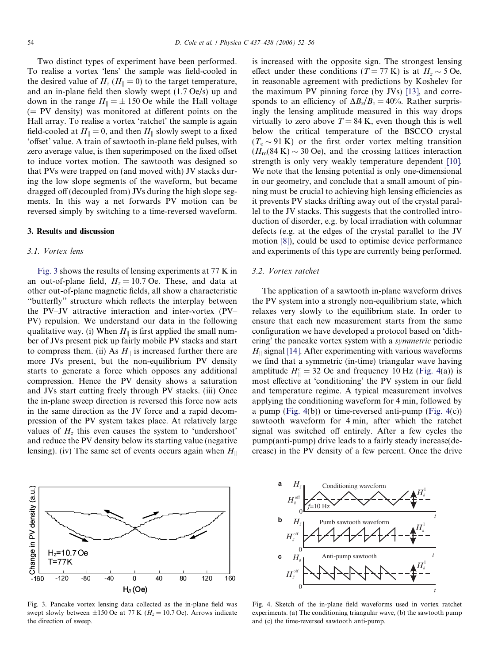<span id="page-2-0"></span>Two distinct types of experiment have been performed. To realise a vortex 'lens' the sample was field-cooled in the desired value of  $H_z$  ( $H_{\parallel} = 0$ ) to the target temperature, and an in-plane field then slowly swept (1.7 Oe/s) up and down in the range  $H_{\parallel} = \pm 150$  Oe while the Hall voltage  $(= PV$  density) was monitored at different points on the Hall array. To realise a vortex 'ratchet' the sample is again field-cooled at  $H_{\parallel} = 0$ , and then  $H_{\parallel}$  slowly swept to a fixed 'offset' value. A train of sawtooth in-plane field pulses, with zero average value, is then superimposed on the fixed offset to induce vortex motion. The sawtooth was designed so that PVs were trapped on (and moved with) JV stacks during the low slope segments of the waveform, but became dragged off (decoupled from) JVs during the high slope segments. In this way a net forwards PV motion can be reversed simply by switching to a time-reversed waveform.

#### 3. Results and discussion

#### 3.1. Vortex lens

Fig. 3 shows the results of lensing experiments at 77 K in an out-of-plane field,  $H_z = 10.7$  Oe. These, and data at other out-of-plane magnetic fields, all show a characteristic ''butterfly'' structure which reflects the interplay between the PV–JV attractive interaction and inter-vortex (PV– PV) repulsion. We understand our data in the following qualitative way. (i) When  $H_{\parallel}$  is first applied the small number of JVs present pick up fairly mobile PV stacks and start to compress them. (ii) As  $H_{\parallel}$  is increased further there are more JVs present, but the non-equilibrium PV density starts to generate a force which opposes any additional compression. Hence the PV density shows a saturation and JVs start cutting freely through PV stacks. (iii) Once the in-plane sweep direction is reversed this force now acts in the same direction as the JV force and a rapid decompression of the PV system takes place. At relatively large values of  $H<sub>z</sub>$  this even causes the system to 'undershoot' and reduce the PV density below its starting value (negative lensing). (iv) The same set of events occurs again when  $H_{\parallel}$ 



Fig. 3. Pancake vortex lensing data collected as the in-plane field was swept slowly between  $\pm 150$  Oe at 77 K ( $H_z = 10.7$  Oe). Arrows indicate the direction of sweep.

is increased with the opposite sign. The strongest lensing effect under these conditions ( $T = 77$  K) is at  $H<sub>z</sub> \sim 5$  Oe, in reasonable agreement with predictions by Koshelev for the maximum PV pinning force (by JVs) [\[13\],](#page-4-0) and corresponds to an efficiency of  $\Delta B_z/B_z = 40\%$ . Rather surprisingly the lensing amplitude measured in this way drops virtually to zero above  $T = 84$  K, even though this is well below the critical temperature of the BSCCO crystal  $(T_c \sim 91 \text{ K})$  or the first order vortex melting transition  $(H_m(84 \text{ K}) \sim 30 \text{ Oe})$ , and the crossing lattices interaction strength is only very weakly temperature dependent [\[10\]](#page-4-0). We note that the lensing potential is only one-dimensional in our geometry, and conclude that a small amount of pinning must be crucial to achieving high lensing efficiencies as it prevents PV stacks drifting away out of the crystal parallel to the JV stacks. This suggests that the controlled introduction of disorder, e.g. by local irradiation with columnar defects (e.g. at the edges of the crystal parallel to the JV motion [\[8\]](#page-4-0)), could be used to optimise device performance and experiments of this type are currently being performed.

#### 3.2. Vortex ratchet

The application of a sawtooth in-plane waveform drives the PV system into a strongly non-equilibrium state, which relaxes very slowly to the equilibrium state. In order to ensure that each new measurement starts from the same configuration we have developed a protocol based on 'dithering' the pancake vortex system with a symmetric periodic  $H_{\parallel}$  signal [\[14\].](#page-4-0) After experimenting with various waveforms we find that a symmetric (in-time) triangular wave having amplitude  $H_{\parallel}^c = 32$  Oe and frequency 10 Hz (Fig. 4(a)) is most effective at 'conditioning' the PV system in our field and temperature regime. A typical measurement involves applying the conditioning waveform for 4 min, followed by a pump (Fig.  $4(b)$ ) or time-reversed anti-pump (Fig.  $4(c)$ ) sawtooth waveform for 4 min, after which the ratchet signal was switched off entirely. After a few cycles the pump(anti-pump) drive leads to a fairly steady increase(decrease) in the PV density of a few percent. Once the drive



Fig. 4. Sketch of the in-plane field waveforms used in vortex ratchet experiments. (a) The conditioning triangular wave, (b) the sawtooth pump and (c) the time-reversed sawtooth anti-pump.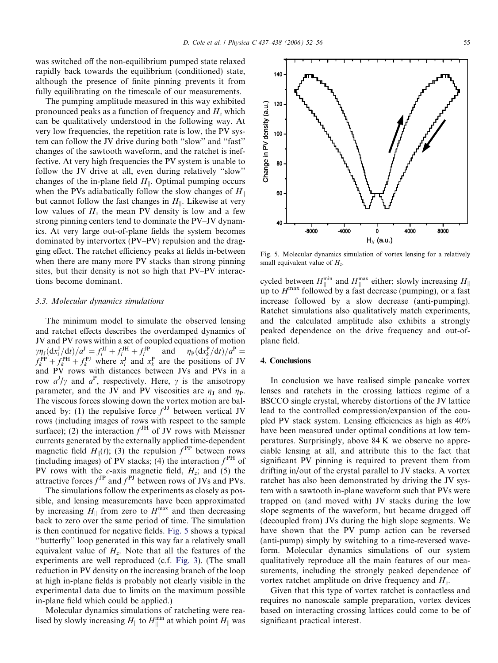was switched off the non-equilibrium pumped state relaxed

rapidly back towards the equilibrium (conditioned) state, although the presence of finite pinning prevents it from fully equilibrating on the timescale of our measurements.

The pumping amplitude measured in this way exhibited pronounced peaks as a function of frequency and  $H<sub>z</sub>$  which can be qualitatively understood in the following way. At very low frequencies, the repetition rate is low, the PV system can follow the JV drive during both ''slow'' and ''fast'' changes of the sawtooth waveform, and the ratchet is ineffective. At very high frequencies the PV system is unable to follow the JV drive at all, even during relatively ''slow'' changes of the in-plane field  $H_{\parallel}$ . Optimal pumping occurs when the PVs adiabatically follow the slow changes of  $H_{\parallel}$ but cannot follow the fast changes in  $H_{\parallel}$ . Likewise at very low values of  $H<sub>z</sub>$  the mean PV density is low and a few strong pinning centers tend to dominate the PV–JV dynamics. At very large out-of-plane fields the system becomes dominated by intervortex (PV–PV) repulsion and the dragging effect. The ratchet efficiency peaks at fields in-between when there are many more PV stacks than strong pinning sites, but their density is not so high that PV–PV interactions become dominant.

### 3.3. Molecular dynamics simulations

The minimum model to simulate the observed lensing and ratchet effects describes the overdamped dynamics of JV and PV rows within a set of coupled equations of motion  $\gamma \eta_{\text{J}}(\text{d}x_i^{\text{J}}/\text{d}t)/a^{\text{J}} = f_i^{\text{JJ}} + f_i^{\text{JI}} + f_i^{\text{JI}}$  and  $\eta_{\text{P}}(\text{d}x_k^{\text{P}}/\text{d}t)/a^{\text{P}} =$  $f_k^{\text{PP}} + f_k^{\text{PH}} + f_k^{\text{PI}}$  where  $x_i^{\text{J}}$  and  $x_k^{\text{P}}$  are the positions of JV and PV rows with distances between JVs and PVs in a row  $a^J/\gamma$  and  $a^P$ , respectively. Here,  $\gamma$  is the anisotropy parameter, and the JV and PV viscosities are  $\eta_{\text{J}}$  and  $\eta_{\text{P}}$ . The viscous forces slowing down the vortex motion are balanced by: (1) the repulsive force  $f<sup>JJ</sup>$  between vertical JV rows (including images of rows with respect to the sample surface); (2) the interaction  $f<sup>JH</sup>$  of JV rows with Meissner currents generated by the externally applied time-dependent magnetic field  $H_{\parallel}(t)$ ; (3) the repulsion  $f^{\rm PP}$  between rows (including images) of PV stacks; (4) the interaction  $f<sup>PH</sup>$  of PV rows with the c-axis magnetic field,  $H_z$ ; and (5) the attractive forces  $f<sup>JP</sup>$  and  $f<sup>PI</sup>$  between rows of JVs and PVs.

The simulations follow the experiments as closely as possible, and lensing measurements have been approximated by increasing  $H_{\parallel}$  from zero to  $H_{\parallel}^{\text{max}}$  and then decreasing back to zero over the same period of time. The simulation is then continued for negative fields. Fig. 5 shows a typical ''butterfly'' loop generated in this way far a relatively small equivalent value of  $H_z$ . Note that all the features of the experiments are well reproduced (c.f. [Fig. 3\)](#page-2-0). (The small reduction in PV density on the increasing branch of the loop at high in-plane fields is probably not clearly visible in the experimental data due to limits on the maximum possible in-plane field which could be applied.)

Molecular dynamics simulations of ratcheting were realised by slowly increasing  $H_{\parallel}$  to  $H_{\parallel}^{\min}$  at which point  $H_{\parallel}$  was

Fig. 5. Molecular dynamics simulation of vortex lensing for a relatively small equivalent value of  $H_z$ .

cycled between  $H_{\parallel}^{\min}$  and  $H_{\parallel}^{\max}$  either; slowly increasing  $H_{\parallel}$ up to  $H^{max}$  followed by a fast decrease (pumping), or a fast increase followed by a slow decrease (anti-pumping). Ratchet simulations also qualitatively match experiments, and the calculated amplitude also exhibits a strongly peaked dependence on the drive frequency and out-ofplane field.

# 4. Conclusions

In conclusion we have realised simple pancake vortex lenses and ratchets in the crossing lattices regime of a BSCCO single crystal, whereby distortions of the JV lattice lead to the controlled compression/expansion of the coupled PV stack system. Lensing efficiencies as high as 40% have been measured under optimal conditions at low temperatures. Surprisingly, above 84 K we observe no appreciable lensing at all, and attribute this to the fact that significant PV pinning is required to prevent them from drifting in/out of the crystal parallel to JV stacks. A vortex ratchet has also been demonstrated by driving the JV system with a sawtooth in-plane waveform such that PVs were trapped on (and moved with) JV stacks during the low slope segments of the waveform, but became dragged off (decoupled from) JVs during the high slope segments. We have shown that the PV pump action can be reversed (anti-pump) simply by switching to a time-reversed waveform. Molecular dynamics simulations of our system qualitatively reproduce all the main features of our measurements, including the strongly peaked dependence of vortex ratchet amplitude on drive frequency and  $H_z$ .

Given that this type of vortex ratchet is contactless and requires no nanoscale sample preparation, vortex devices based on interacting crossing lattices could come to be of significant practical interest.